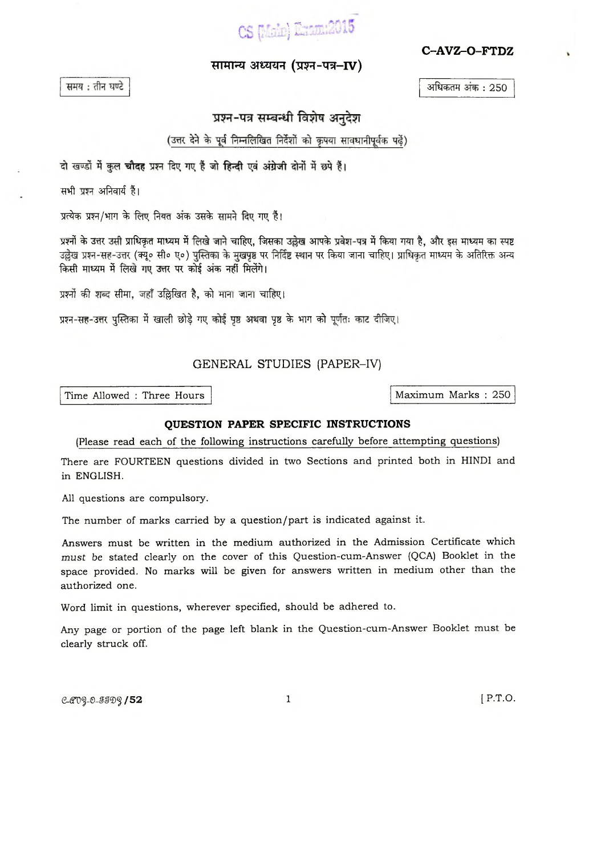**C-AVZ-O-FTDZ**

सामान्य अध्ययन (प्रश्न-पत्र-IV)

c A f?- **: : itM.**

अधिकतम अंक : 250

समय: तीन घण्टे

# प्रश्न-पत्र सम्बन्धी विशेष अनुदेश

(उत्तर देने के पूर्व निम्नलिखित निर्देशों को कृपया सावधानीपूर्वक पढ़ें)

दो खण्डों में कुल चौदह प्रश्न दिए गए हैं जो हिन्दी एवं अंग्रेजी दोनों में छपे हैं।

सभी प्रश्न अनिवार्य है।

प्रत्येक प्रश्न/भाग के लिए नियत अंक उसके सामने दिए गए हैं।

प्रश्नों के उत्तर उसी प्राधिकृत माध्यम में लिखे जाने चाहिए, जिसका उल्लेख आपके प्रवेश-पत्र में किया गया है, और इस माध्यम का स्पष्ट उल्लेख प्रश्न-सह-उत्तर (क्यू० सी० ए०) पुस्तिका के मुखपृष्ठ पर निर्दिष्ट स्थान पर किया जाना चाहिए। प्राधिकृत माध्यम के अतिरिक्त अन्य किसी माध्यम में लिखे गए उत्तर पर कोई अंक नहीं मिलेंगे।

प्रश्नों की शब्द सीमा, जहाँ उल्लिखित है, को माना जाना चाहिए।

प्रश्न-सह-उत्तर पुस्तिका में खाली छोड़े गए कोई पृष्ठ अथवा पृष्ठ के भाग को पूर्णतः काट दीजिए।

# GENERAL STUDIES (PAPER-IV)

#### **QUESTION PAPER SPECIFIC INSTRUCTIONS**

(Please read each of the following instructions carefully before attempting questions)

There are FOURTEEN questions divided in two Sections and printed both in HINDI and in ENGLISH.

All questions are compulsory.

The number of marks carried by a question/part is indicated against it.

white a starting and the page left blank in the Question-cum-Answer Booklet<br>
The arge of the page left blank in the page left blank in the Question of the page of the page of the following<br>
CENERAL STUDIES (PAPER-IV)<br>
The Answers must be written in the medium authorized in the Admission Certificate which *must* be stated clearly on the cover of this Question-cum-Answer (QCA) Booklet in the space provided. No marks will be given for answers written in medium other than the authorized one.

Word limit in questions, wherever specified, should be adhered to.

Any page or portion of the page left blank in the Question-cum-Answer Booklet must be clearly struck off.

*&@V%-6-33l8<\$/52* 1 [ P.T.O.

Time Allowed : Three Hours New York 1988 (Maximum Marks : 250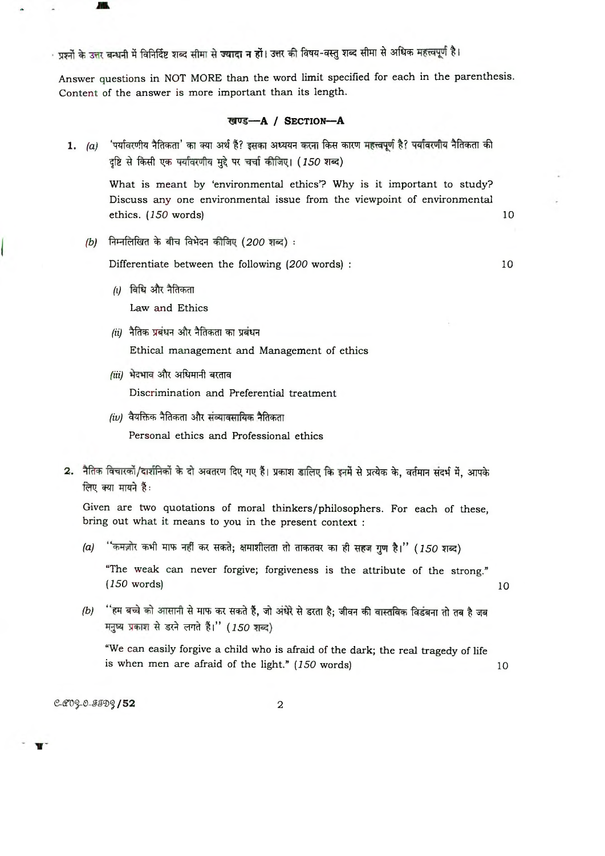∙ प्रश्नों के उत्तर बन्धनी में विनिर्दिष्ट शब्द सीमा से **ज्यादा न हों। उ**त्तर की विषय-वस्तु शब्द सीमा से अधिक महत्त्वपूर्ण है।

Answer questions in NOT MORE than the word limit specified for each in the parenthesis. Content of the answer is more important than its length.

## खण्ड-A / SECTION-A

1. (a) 'पर्यावरणीय नैतिकता' का क्या अर्थ हैं? इसका अध्ययन करना किस कारण महत्त्वपूर्ण है? पर्यावरणीय नैतिकता की दृष्टि से किसी एक पर्यावरणीय मुद्दे पर चर्चा कीजिए। (150 शब्द)

> What is meant by 'environmental ethics'? Why is it important to study? Discuss any one environmental issue from the viewpoint of environmental ethics. (150 words)

10

10

(b) निम्नलिखित के बीच विभेदन कीजिए (200 शब्द) :

Differentiate between the following (200 words) :

- $(t)$  विधि और नैतिकता Law and Ethics
- (ii) नैतिक प्रबंधन और नैतिकता का प्रबंधन Ethical management and Management of ethics
- (iii) भेदभाव और अधिमानी बरताव Discrimination and Preferential treatment
- $(iv)$  वैयक्तिक नैतिकता और संव्यावसायिक नैतिकता Personal ethics and Professional ethics
- 2. नैतिक विचारकों/दार्शनिकों के दो अवतरण दिए गए हैं। प्रकाश डालिए कि इनमें से प्रत्येक के, वर्तमान संदर्भ में, आपके लिए क्या मायने हैं:

Given are two quotations of moral thinkers/philosophers. For each of these, bring out what it means to you in the present context :

"कमज़ोर कभी माफ नहीं कर सकते; क्षमाशीलता तो ताकतवर का ही सहज गुण है।" (150 शब्द)  $(a)$ 

"The weak can never forgive; forgiveness is the attribute of the strong."  $(150 \text{ words})$  $10$ 

(b) "हम बच्चे को आसानी से माफ कर सकते हैं, जो अंधेरे से डरता है; जीवन की वास्तविक विडबना तो तब है जब मनुष्य प्रकाश से डरने लगते हैं।" (150 शब्द)

"We can easily forgive a child who is afraid of the dark; the real tragedy of life is when men are afraid of the light." (150 words) 10

C-COQ-0-35D9/52

 $\overline{\mathbf{v}}$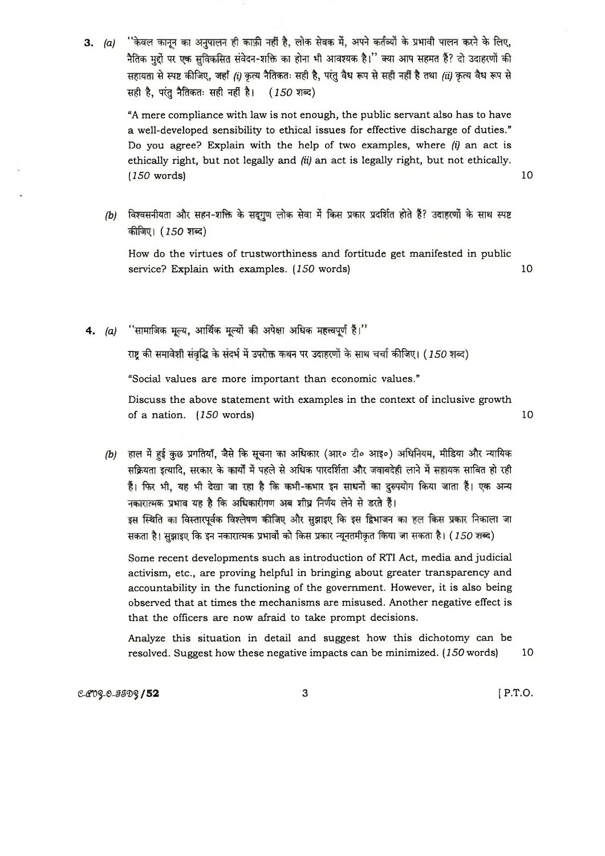3. (a) ''केवल कानून का अनुपालन ही काफ़ी नहीं है, लोक सेवक में, अपने कर्तव्यों के प्रभावी पालन करने के लिए, नैतिक मद्दों पर एक सविकसित संवेदन-शक्ति का होना भी आवश्यक है।'' क्या आप सहमत हैं? दो उदाहरणों की सहायता से स्पष्ट कीजिए, जहाँ *(i)* कृत्य नैतिकतः सही है, परंतु वैध रूप से सही नहीं है तथा *(ii)* कृत्य वैध रूप से **सही है, परंतु नैतिकतः सही नहीं है।** (150 शब्द)

> "A mere compliance with law is not enough, the public servant also has to have a well-developed sensibility to ethical issues for effective discharge of duties." Do you agree? Explain with the help of two examples, where *(i)* an act is ethically right, but not legally and *(ii)* an act is legally right, but not ethically. *(150* words) 10

*(b)* विश्वसनीयता और सहन-शक्ति के सद्गुण लोक सेवा में किस प्रकार प्रदर्शित होते हैं? उदाहरणों के साथ स्पष्ट  $\frac{1}{2}$  $\frac{150}{2}$  *शब्द)* 

How do the virtues of trustworthiness and fortitude get manifested in public service? Explain with examples. *(150* words) 10

4. (a) "सामाजिक मूल्य, आर्थिक मूल्यों की अपेक्षा अधिक महत्त्वपूर्ण हैं।"

राष्ट की समावेशी संवृद्धि के संदर्भ में उपरोक्त कथन पर उदाहरणों के साथ चर्चा कीजिए। (150 शब्द)

"Social values are more important than economic values."

Discuss the above statement with examples in the context of inclusive growth of a nation. *(150* words) 10

4. (a) "सामाजिक मूल्य, आर्थिक मूल्यों की अपेक्षा अधिक महत्वपूर्ण हैं।"<br>
राष्ट्र की समावेशी संबृद्धि के संदर्भ में उपरोक्त कथन पर उदाहरणों के साथ चर्चा कीजिए। (150 शब्द)<br>
"Social values are more important than economic va *(b)* हाल में हुई कुछ प्रगतियाँ, जैसे कि सूचना का अधिकार (आर० टी० आइ०) अधिनियम, मीडिया और न्यायिक सक्रियता इत्यादि, सरकार के कार्यों में पहले से अधिक पारदर्शिता और जवाबदेही लाने में सहायक साबित हो रही हैं। फिर भी, यह भी देखा जा रहा है कि कभी-कभार इन साधनों का दुरुपयोग किया जाता हैं। एक अन्य इस स्थिति का विस्तारपूर्वक विश्लेषण कीजिए और सुझाइए कि इस द्विभाजन का हल किस प्रकार निकाला जा सकता है। सुझाइए कि इन नकारात्मक प्रभावों को किस प्रकार न्यूनतमीकृत किया जा सकता है। (150 शब्द)

Some recent developments such as introduction of RTI Act, media and judicial activism, etc., are proving helpful in bringing about greater transparency and accountability in the functioning of the government. However, it is also being observed that at times the mechanisms are misused. Another negative effect is that the officers are now afraid to take prompt decisions.

Analyze this situation in detail and suggest how this dichotomy can be resolved. Suggest how these negative impacts can be minimized. *(1 50* words) 10

*£-(2T><\$-®-33cD<\$* /52 3 [ P.T.O.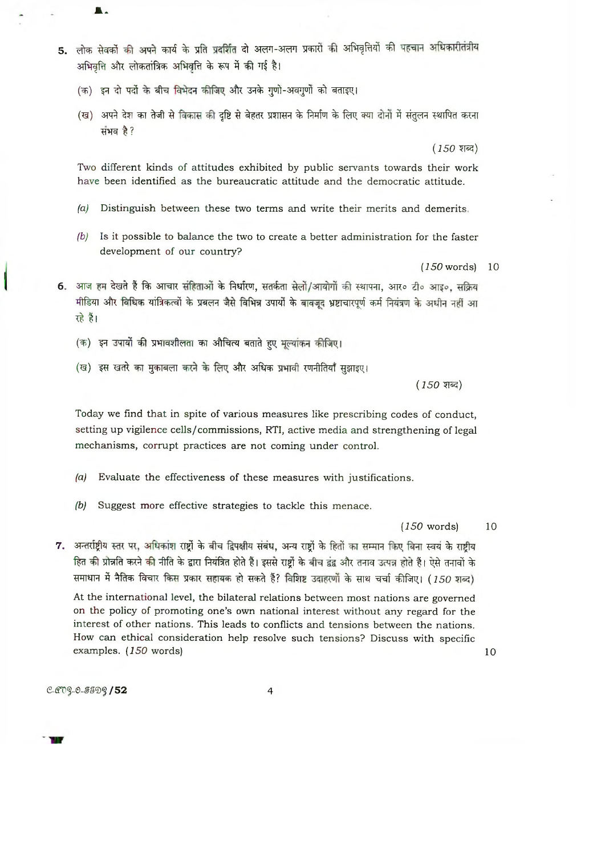- 5. लोक सेवकों की अपने कार्य के प्रति प्रदर्शित दो अलग-अलग प्रकारों की अभिवृत्तियों की पहचान अधिकारीतंत्रीय अभिवृत्ति और लोकतांत्रिक अभिवृत्ति के रूप में की गई है।
	- (क) इन दो पर्दो के बीच विभेदन कीजिए और उनके गुणो-अवगुणों को बताइए।

It.

(ख) अपने देश का तेजी से विकास की दृष्टि से बेहतर प्रशासन के निर्माण के लिए क्या दोनों में संतुलन स्थापित करना संभव है?

*(150* sra)

Two different kinds of attitudes exhibited by public servants towards their work have been identified as the bureaucratic attitude and the democratic attitude.

- *(a)* Distinguish between these two terms and write their merits and demerits,
- *(b)* Is it possible to balance the two to create a better administration for the faster development of our country?

*(150* words) 10

- **6.** आज हम देखते हैं कि आचार संहिताओं के निर्धारण, सतर्कता सेलों/आयोगों की स्थापना, आर० टी० आइ०, सक्रिय मीडिया और विधिक यांत्रिकत्वों के प्रबलन जैसे विभिन्न उपायों के बावजूद भ्रष्टाचारपूर्ण कर्म नियंत्रण के अधीन नहीं आ रहे हैं।
	- (क) इन उपार्यो की प्रभावशीलता का औचित्य बताते हुए मूल्यांकन कीजिए।
	- (ख) इस खतरे का मुकाबला करने के लिए और अधिक प्रभावी रणनीतियाँ सुझाइए।

*(150* शब्द)

Today we find that in spite of various measures like prescribing codes of conduct, setting up vigilence cells/commissions, RTI, active media and strengthening of legal mechanisms, corrupt practices are not coming under control.

*(a)* Evaluate the effectiveness of these measures with justifications.

*(b)* Suggest more effective strategies to tackle this menace.

*(150* words) 10

**7.** अन्तर्राष्ट्रीय स्तर पर, अधिकांश राष्ट्रों के बीच द्विपक्षीय संबंध, अन्य राष्ट्रों के हितों का सम्मान किए बिना स्वयं के राष्टीय हित की प्रोन्नति करने <mark>की</mark> नीति के द्वारा नियंत्रित होते हैं। इससे राष्टों के बीच द्वंद्व और तनाव उत्पन्न होते हैं। ऐसे तनावों के समाधान में नैतिक विचार किस प्रकार सहायक हो सकते हैं? विशिष्ट उदाहरणों के साथ चर्चा कीजिए। (150 शब्द)

आल हम देखते हैं कि आचार संहिताओं के निर्धारण, सतर्कता सेलों/आयोगों की स्थापना, आर० टी० आइ०, सप्री<br>सीडिया और विधिक यांत्रिकल्लों के प्रबलन जैसे विभिन्न उपायों के बावजूद भ्रष्टाचारपूर्ण कर्म नियंत्रण के अधीन नहीं<br>रहे हैं।<br> At the international level, the bilateral relations between most nations are governed on the policy of promoting one's own national interest without any regard for the interest of other nations. This leads to conflicts and tensions between the nations. How can ethical consideration help resolve such tensions? Discuss with specific examples. *(150* words) 10

 $C-C$  $CQ$ - $CQ$ - $FQQ$  / 52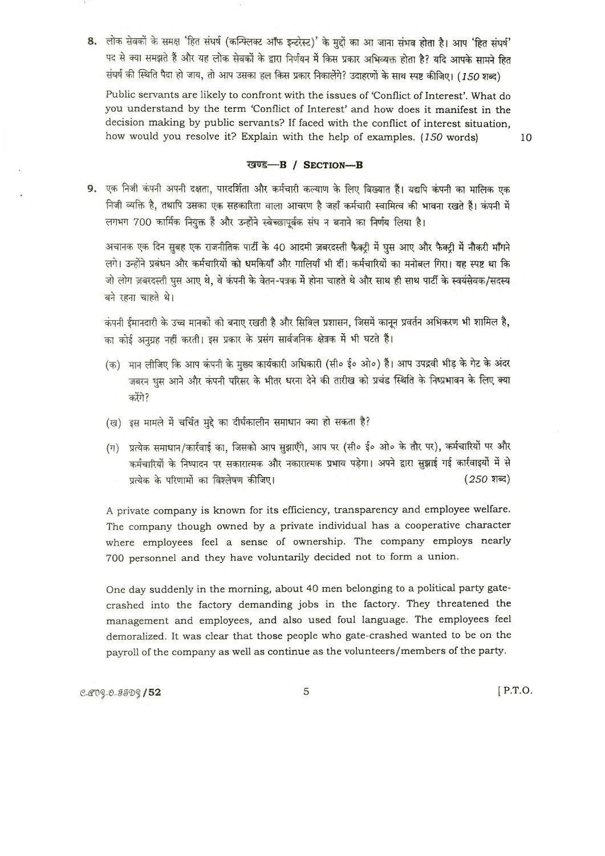8. लोक सेवकों के समक्ष 'हित संघर्ष (कन्फ्लिक्ट ऑफ इन्टरेस्ट)' के मुद्दों का आ जाना संभव होता है। आप 'हित संघर्ष' पद से क्या समझते हैं और यह लोक सेवकों के द्वारा निर्णयन में किस प्रकार अभिव्यक्त होता है? यदि आपके सामने हित संघर्ष की स्थिति पैदा हो जाय, तो आप उसका हल किस प्रकार निकालेंगे? उदाहरणों के साथ स्पष्ट कीजिए। (150 शब्द)

Public servants are likely to confront with the issues of 'Conflict of Interest'. What do you understand by the term 'Conflict of Interest' and how does it manifest in the decision making by public servants? If faced with the conflict of interest situation, how would you resolve it? Explain with the help of examples. (150 words)

## खण्ड-B / SECTION-B

9. एक निजी कंपनी अपनी दक्षता, पारदर्शिता और कर्मचारी कल्याण के लिए विख्यात हैं। यद्यपि कंपनी का मालिक एक निजी व्यक्ति है, तथापि उसका एक सहकारिता वाला आचरण है जहाँ कर्मचारी स्वामित्व की भावना रखते हैं। कंपनी में लगभग 700 कार्मिक नियुक्त हैं और उन्होंने स्वेच्छापूर्वक संघ न बनाने का निर्णय लिया है।

अचानक एक दिन सुबह एक राजनीतिक पार्टी के 40 आदमी ज़बरदस्ती फैक्टी में घुस आए और फैक्टी में नौकरी माँगने लगे। उन्होंने प्रबंधन और कर्मचारियों को धमकियाँ और गालियाँ भी दीं। कर्मचारियों का मनोबल गिरा। यह स्पष्ट था कि जो लोग जबरदस्ती घुस आए थे, वे कंपनी के वेतन-पत्रक में होना चाहते थे और साथ ही साथ पार्टी के स्वयंसेवक/सदस्य बने रहना चाहते थे।

कपनी ईमानदारी के उच्च मानकों को बनाए रखती है और सिविल प्रशासन, जिसमें कानून प्रवर्तन अभिकरण भी शामिल है, का कोई अनुग्रह नहीं करती। इस प्रकार के प्रसंग सार्वजनिक क्षेत्रक में भी घटते हैं।

- (क) मान लीजिए कि आप कंपनी के मुख्य कार्यकारी अधिकारी (सी० ई० ओ०) हैं। आप उपद्रवी भीड़ के गेट के अंदर जबरन घुस आने और कंपनी परिसर के भीतर धरना देने की तारीख को प्रचंड स्थिति के निष्प्रभावन के लिए क्या करेंगे?
- (ख) इस मामले में चर्चित मुद्दे का दीर्घकालीन समाधान क्या हो सकता है?
- (ग) प्रत्येक समाधान/कार्रवाई का, जिसको आप सुझाएँगे, आप पर (सी० ई० ओ० के तौर पर), कर्मचारियों पर और कर्मचारियों के निष्पादन पर सकारात्मक और नकारात्मक प्रभाव पडेगा। अपने द्वारा सुझाई गई कार्रवाइयों में से प्रत्येक के परिणामों का विश्लेषण कीजिए।  $(250 \; \text{Mg})$

A private company is known for its efficiency, transparency and employee welfare. The company though owned by a private individual has a cooperative character where employees feel a sense of ownership. The company employs nearly 700 personnel and they have voluntarily decided not to form a union.

One day suddenly in the morning, about 40 men belonging to a political party gatecrashed into the factory demanding jobs in the factory. They threatened the management and employees, and also used foul language. The employees feel demoralized. It was clear that those people who gate-crashed wanted to be on the payroll of the company as well as continue as the volunteers/members of the party.

C-COQ-O-FIDQ / 52

 $[$  P.T.O.

10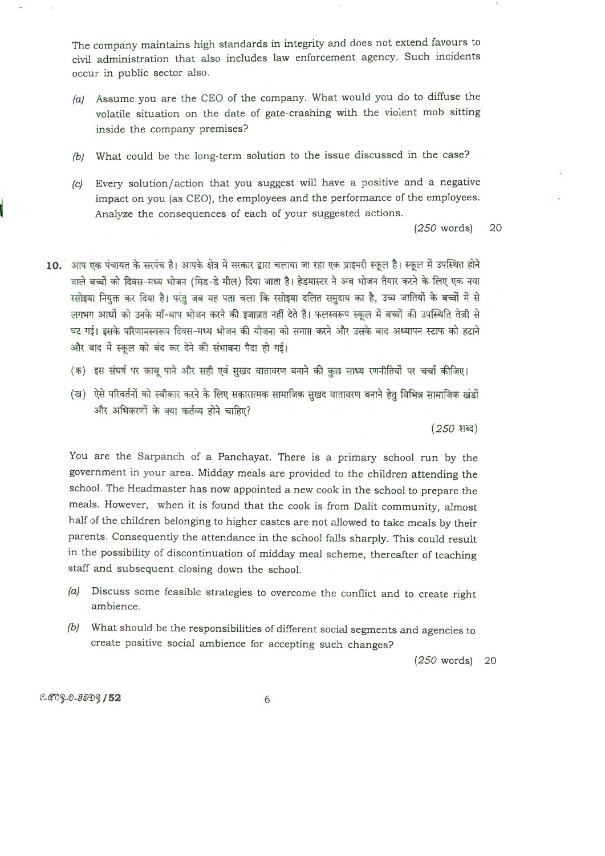The company maintains high standards in integrity and does not extend favours to civil administration that also includes law enforcement agency. Such incidents occur in public sector also.

- *(a)* Assume you are the CEO of the company. What would you do to diffuse the volatile situation on the date of gate-crashing with the violent mob sitting inside the company premises?
- *(b)* What could be the long-term solution to the issue discussed in the case?
- *(c)* Every solution/action that you suggest will have a positive and a negative impact on you (as CEO), the employees and the performance of the employees. Analyze the consequences of each of your suggested actions.

*(250* words) 20

- 10. <sup>"</sup> आप एक पंचायत के सरपंच हैं। आपके क्षेत्र में सरकार द्वारा चलाया जा रहा एक प्राइमरी स्कूल है। स्कूल में उपस्थित होने वाले बच्चों को दिवस-मध्य भोजन (मिड-डे मील) दिया जाता है। हेडमास्टर ने अब भोजन तैयार करने के लिए एक नया रसोइया नियुक्त कर दिया है। परंतु जब यह पता चला कि रसोइया दलित समुदाय का है, उच्च जातियों के बच्चों में से लगभग आधों को उनके माँ-बाप भोजन करने की इजाज़त नहीं देते हैं। फलस्वरूप स्कूल में बच्चों की उपस्थिति तेज़ी से घट गई। इसके परिणामस्वरूप दिवस-मध्य भोजन की योजना को समाप्त करने और उसके बाद अध्यापन स्टाफ को हटाने और बाद में स्कूल को बंद कर देने की संभावना पैदा हो गई।
	- (क) इस संघर्ष पर काबू पाने और सही एवं सुखद वातावरण बनाने की कुछ साध्य रणनीतियों पर चर्चा कीजिए।
	- (ख) ऐसे परिवर्तनों को स्वीकार करने के लिए सकारात्मक सामाजिक सुखद वातावरण बनाने हेतु विभिन्न सामाजिक खंडों और अभिकरणों के क्या कर्तव्य होने चाहिए?

 $(250 \;$ *शब्द*)

anch बच्चों को दिवस-मध्य भोजन (मिड-डै मील) दिया जाता है। हेडमास्टर ने अस भोजन तैयार करने के लिए एक<br> **weillers निदुक्त कर दिया है। परंतु जब यह पता चला कि तसोड़या दलित समुद्राय का है, उच्च जातियों के बच्चों में अन<br>
लगान आयो** You are the Sarpanch of a Panchayat. There is a primary school run by the government in your area. Midday meals are provided to the children attending the school. The Headmaster has now appointed a new cook in the school to prepare the meals. However, when it is found that the cook is from Dalit community, almost half of the children belonging to higher castes are not allowed to take meals by their parents. Consequently the attendance in the school falls sharply. This could result in the possibility of discontinuation of midday meal scheme, thereafter of teaching staff and subsequent closing down the school.

- *(a)* Discuss some feasible strategies to overcome the conflict and to create right ambience.
- *(b)* What should be the responsibilities of different social segments and agencies to create positive social ambience for accepting such changes?

*(250* words) 20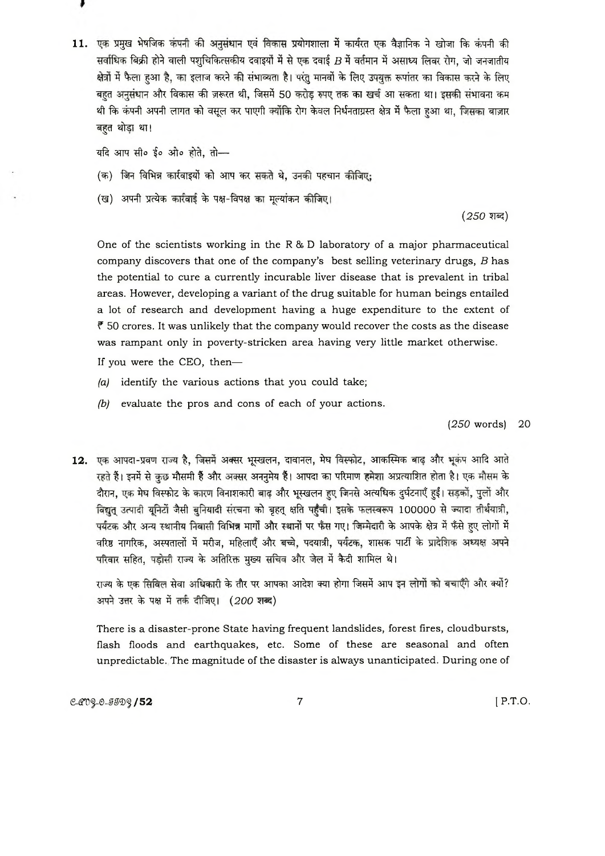11. एक प्रमुख भेषजिक कंपनी की अनुसंधान एवं विकास प्रयोगशाला में कार्यरत एक वैज्ञानिक ने खोजा कि कंपनी की सर्वाधिक बिक्री होने वाली पशुचिकित्सकीय दवाइयों में से एक दवाई *B* में वर्तमान में असाध्य लिवर रोग, जो जनजातीय क्षेत्रों में फैला हुआ है, का इलाज करने की संभाव्यता है। परंतु मानवों के लिए उपयक्त रूपांतर का विकास करने के लिए बहुत अनुसंधान और विकास की ज़रूरत थी, जिसमें 50 करोड़ रुपए तक का खर्च आ सकता था। इसकी संभावना कम थी कि कंपनी अपनी लागत को वसूल कर पाएगी क्योंकि रोग केवल निर्धनताग्रस्त क्षेत्र में फैला हआ था, जिसका बाज़ार बहुत थोड़ा था।

यदि आप सी $\circ$  ई $\circ$  ओ $\circ$  होते. तो—

,

- (क) जिन विभिन्न कार्रवाइयों को आप कर सकते थे, उनकी पहचान कीजिए:
- (ख) अपनी प्रत्येक कार्रवाई के पक्ष-विपक्ष का मूल्यांकन कीजिए।

*(250* शब्द)

One of the scientists working in the R & D laboratory of a major pharmaceutical company discovers that one of the company's best selling veterinary drugs, *B* has the potential to cure a currently incurable liver disease that is prevalent in tribal areas. However, developing a variant of the drug suitable for human beings entailed a lot of research and development having a huge expenditure to the extent of  $\bar{\zeta}$  50 crores. It was unlikely that the company would recover the costs as the disease was rampant only in poverty-stricken area having very little market otherwise.

If you were the CEO, then—

- *(a)* identify the various actions that you could take;
- *(b)* evaluate the pros and cons of each of your actions.

*(250* words) 20

the potentant to cure a currenty interaction liver usease that is prevailer.<br>
areas. However, developing a variant of the drug suitable for human beings<br>
a lot of research and development having a huge expenditure to the<br> 12. एक आपदा-प्रवण राज्य है, जिसमें अक्सर भूस्खलन, दावानल, मेघ विस्फोट, आकस्मिक बाढ़ और भूकंप आदि आते रहते हैं। इनमें से कुछ मौसमी हैं और अक्सर अननुमेय हैं। आपदा का परिमाण हमेशा अप्रत्याशित होता है। एक मौसम के दौरान, एक मेघ विस्फोट के कारण विनाशकारी बाढ़ और भूस्खलन हुए जिनसे अत्यधिक दुर्घटनाएँ हुईं। सड़कों, पुलों और विद्युत उत्पादी यूनिटों जैसी बुनियादी संरचना को बृहत् क्षति पहुँची। इसके फलस्वरूप 100000 से ज्यादा तीर्थयात्री, पर्यटक और अन्य स्थानीय निवासी विभिन्न मार्गों और स्थानों पर फँस गए। जिम्मेदारी के आपके क्षेत्र में फँसे हुए लोगों में वरिष्ठ नागरिक, अस्पतालों में मरीज, महिलाएँ और बच्चे, पदयात्री, पर्यटक, शासक पार्टी के प्रादेशिक अध्यक्ष अपने परिवार सहित, पड़ोसी राज्य के अतिरिक्त मुख्य सचिव और जेल में कैदी शामिल थे।

राज्य के एक सिविल सेवा अधिकारी के तौर पर आपका आदेश क्या होगा जिसमें आप इन लोगों को बचाएँगे और क्यों? अपने उत्तर के पक्ष में तर्क दीजिए। (200 शब्द)

There is a disaster-prone State having frequent landslides, forest fires, cloudbursts, flash floods and earthquakes, etc. Some of these are seasonal and often unpredictable. The magnitude of the disaster is always unanticipated. During one of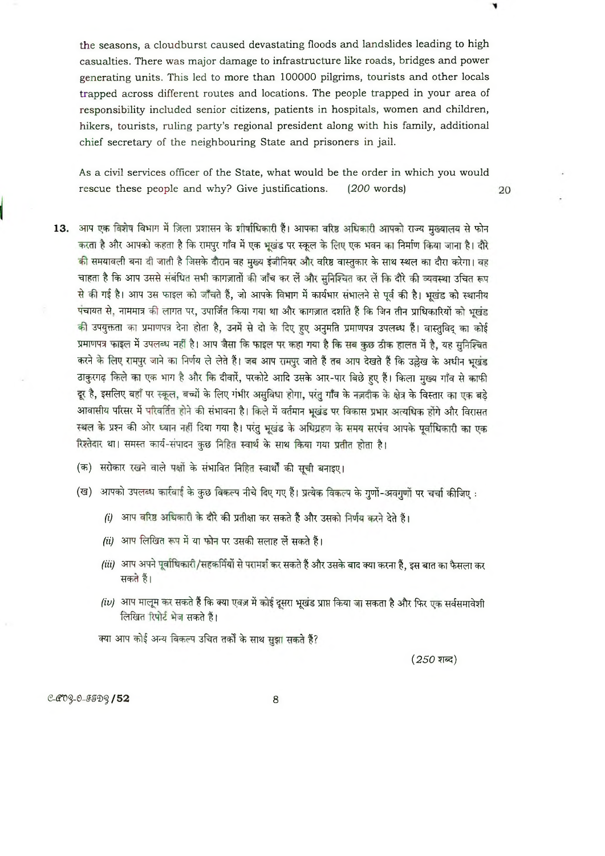the seasons, a cloudburst caused devastating floods and landslides leading to high casualties. There was major damage to infrastructure like roads, bridges and power generating units. This led to more than 100000 pilgrims, tourists and other locals trapped across different routes and locations. The people trapped in your area of responsibility included senior citizens, patients in hospitals, women and children, hikers, tourists, ruling party's regional president along with his family, additional chief secretary of the neighbouring State and prisoners in jail.

As a civil services officer of the State, what would be the order in which you would rescue these people and why? Give justifications.  $(200 \text{ words})$ 

13. आप एक विशेष विभाग में ज़िला प्रशासन के शीर्षाधिकारी हैं। आपका वरिष्ठ अधिकारी आपको राज्य मुख्यालय से फोन करता है और आपको कहता है कि रामपुर गाँव में एक भूखंड पर स्कूल के लिए एक भवन का निर्माण किया जाना है। दौरे की समयावली बना दी जाती है जिसके दौरान वह मुख्य इंजीनियर और वरिष्ठ वास्तुकार के साथ स्थल का दौरा करेगा। वह चाहता है कि आप उससे संबंधित सभी कागज़ातों की जाँच कर लें और सुनिश्चित कर लें कि दौरे की व्यवस्था उचित रूप से की गई है। आप उस फाइल को जाँचते हैं, जो आपके विभाग में कार्यभार संभालने से पूर्व की है। भूखंड को स्थानीय पंचायत से, नाममात्र की लागत पर, उपार्जित किया गया था और कागज़ात दर्शाते हैं कि जिन तीन प्राधिकारियों को भूखंड की उपयुक्तता का प्रमाणपत्र देना होता है, उनमें से दो के दिए हुए अनुमति प्रमाणपत्र उपलब्ध हैं। वास्तुविद् का कोई प्रमाणपत्र फाइल में उपलब्ध नहीं है। आप जैसा कि फाइल पर कहा गया है कि सब कुछ ठीक हालत में है, यह सुनिश्चित करने के लिए रामपुर जाने का निर्णय ले लेते हैं। जब आप रामपुर जाते हैं तब आप देखते हैं कि उल्लेख के अधीन भूखंड ठाकुरगढ़ किले का एक भाग है और कि दीवारें, परकोटे आदि उसके आर-पार बिछे हुए हैं। किला मुख्य गाँव से काफी दूर है, इसलिए वहाँ पर स्कूल, बच्चों के लिए गंभीर असुविधा होगा, परंतु गाँव के नज़दीक के क्षेत्र के विस्तार का एक बड़े आवासीय परिसर में परिवर्तित होने की संभावना है। किले में वर्तमान भूखंड पर विकास प्रभार अत्यधिक होंगे और विरासत स्थल के प्रश्न की ओर ध्यान नहीं दिया गया है। परंतु भूखंड के अधिग्रहण के समय सरपंच आपके पूर्वाधिकारी का एक रिश्तेदार था। समस्त कार्य-संपादन कुछ निहित स्वार्थ के साथ किया गया प्रतीत होता है।

(क) सरोकार रखने वाले पक्षों के संभावित निहित स्वार्थों की सूची बनाइए।

- (ख) आपको उपलब्ध कार्रवाई के कुछ विकल्प नीचे दिए गए हैं। प्रत्येक विकल्प के गुणों-अवगुणों पर चर्चा कीजिए :
	- (i) आप वरिष्ठ अधिकारी के दौरे की प्रतीक्षा कर सकते हैं और उसको निर्णय करने देते हैं।
	- (ii) आप लिखित रूप में या फोन पर उसकी सलाह लें सकते हैं।
	- (iii) आप अपने पूर्वाधिकारी/सहकर्मियों से परामर्श कर सकते हैं और उसके बाद क्या करना है, इस बात का फैसला कर सकते हैं।
	- (iv) आप मालूम कर सकते हैं कि क्या एवज़ में कोई दूसरा भूखंड प्राप्त किया जा सकता है और फिर एक सर्वसमावेशी लिखित रिपोर्ट भेज सकते हैं।

क्या आप कोई अन्य विकल्प उचित तर्कों के साथ सुझा सकते हैं?

 $(250 \,\mathrm{Mpc})$ 

20

C-COQ-O-FJD9 / 52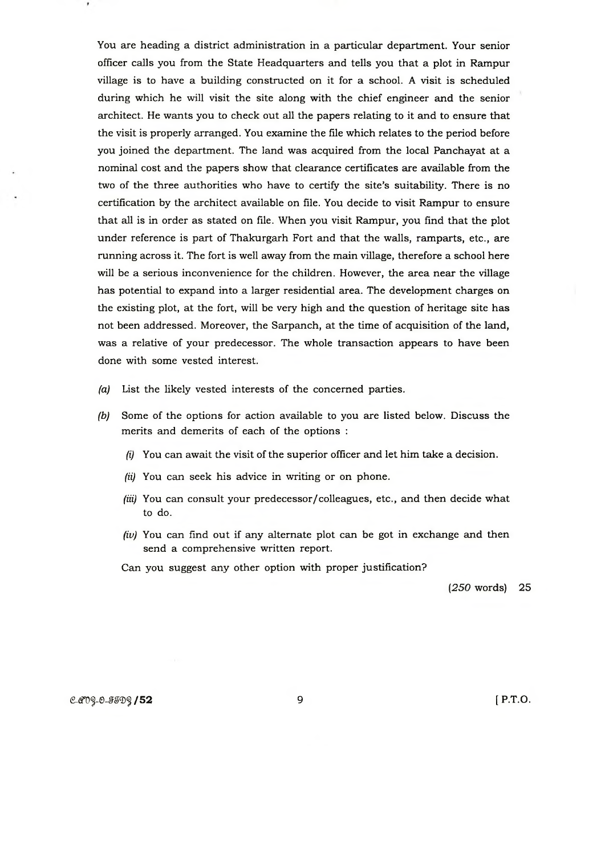has potential to expand into a larger residential area. The development chieve existing plot, at the fort, will be very high and the question of heritage not been addressed. Moreover, the Sarpanch, at the time of acquisiti You are heading a district administration in a particular department. Your senior officer calls you from the State Headquarters and tells you that a plot in Rampur village is to have a building constructed on it for a school. A visit is scheduled during which he will visit the site along with the chief engineer and the senior architect. He wants you to check out all the papers relating to it and to ensure that the visit is properly arranged. You examine the file which relates to the period before you joined the department. The land was acquired from the local Panchayat at a nominal cost and the papers show that clearance certificates are available from the two of the three authorities who have to certify the site's suitability. There is no certification by the architect available on file. You decide to visit Rampur to ensure that all is in order as stated on file. When you visit Rampur, you find that the plot under reference is part of Thakurgarh Fort and that the walls, ramparts, etc., are running across it. The fort is well away from the main village, therefore a school here will be a serious inconvenience for the children. However, the area near the village has potential to expand into a larger residential area. The development charges on the existing plot, at the fort, will be very high and the question of heritage site has not been addressed. Moreover, the Sarpanch, at the time of acquisition of the land, was a relative of your predecessor. The whole transaction appears to have been done with some vested interest.

- *(a)* List the likely vested interests of the concerned parties.
- *(b)* Some of the options for action available to you are listed below. Discuss the merits and demerits of each of the options :
	- *(i)* You can await the visit of the superior officer and let him take a decision.
	- *(ii)* You can seek his advice in writing or on phone.
	- *(iii)* You can consult your predecessor/colleagues, etc., and then decide what to do.
	- *(iv)* You can find out if any alternate plot can be got in exchange and then send a comprehensive written report.

Can you suggest any other option with proper justification?

*(250* words) 25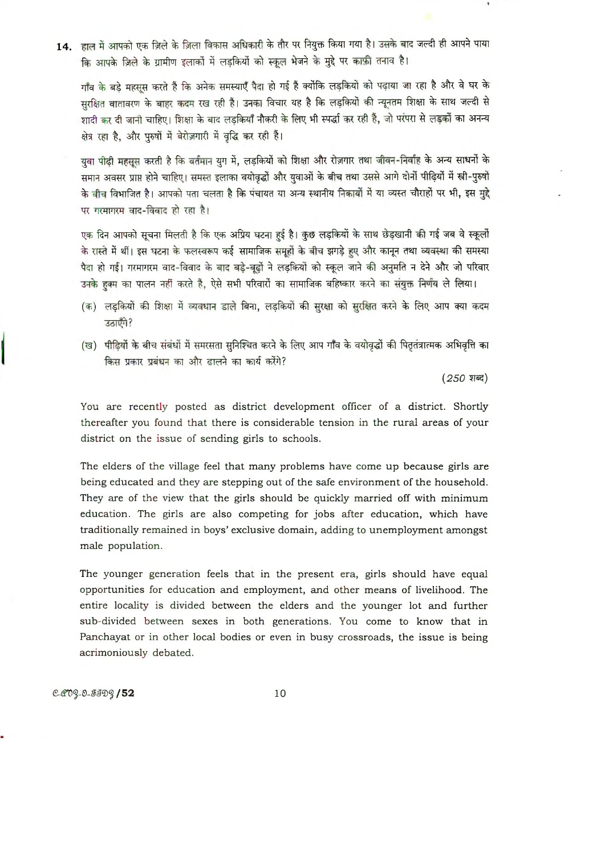14. हाल में आपको एक ज़िले के ज़िला विकास अधिकारी के तौर पर नियुक्त किया गया है। उसके बाद जल्दी ही आपने पाया कि आपके ज़िले के ग्रामीण इलाकों में लड़कियों को स्कूल भेजने के मुद्दे पर काफ़ी तनाव है।

गाँव के बड़े महसूस करते हैं कि अनेक समस्याएँ पैदा हो गई हैं क्योंकि लड़कियों को पढ़ाया जा रहा है और वे घर के सरक्षित वातावरण के बाहर कदम रख रही हैं। उनका विचार यह है कि लड़कियों की न्यूनतम शिक्षा के साथ जल्दी से शादी कर दी जानी चाहिए। शिक्षा के बाद लड़कियाँ नौकरी के लिए भी स्पर्द्धा कर रही हैं, जो परंपरा से लड़कों का अनन्य क्षेत्र रहा है, और पुरुषों में बेरोजगारी में वृद्धि कर रही हैं।

युवा पीढ़ी महसूस करती है कि वर्तमान युग में, लड़कियों को शिक्षा और रोज़गार तथा जीवन-निर्वाह के अन्य साधनों के समान अवसर प्राप्त होने चाहिए। समस्त इलाका वयोवृद्धों और युवाओं के बीच तथा उससे आगे दोनों पीढ़ियों में स्त्री-पुरुषो के बीच विभाजित है। आपको पता चलता है कि पंचायत या अन्य स्थानीय निकायों में या व्यस्त चौराहों पर भी, इस मुद्दे पर गरमागरम बाद-विबाद हो रहा है।

एक दिन आपको सूचना मिलती है कि एक अप्रिय घटना हुई है। कुछ लड़कियों के साथ छेड़खानी की गई जब वे स्कूलों के रास्ते में थीं। इस घटना के फलस्वरूप कई सामाजिक समूहों के बीच झगड़े हुए और कानून तथा व्यवस्था की समस्या पैदा हो गई। गरमागरम वाद-विवाद के बाद बड़े-बूढ़ों ने लड़कियों को स्कूल जाने की अनुमति न देने और जो परिवार उनके हक्म का पालन नहीं करते हैं, ऐसे सभी परिवारों का सामाजिक बहिष्कार करने का संयुक्त निर्णय ले लिया।

- (क) लड़कियों की शिक्षा में व्यवधान डाले बिना, लड़कियों की सुरक्षा को सुरक्षित करने के लिए आप क्या कदम उठाएँगे?
- (ख) पीढ़ियों के बीच संबंधों में समरसता सुनिश्चित करने के लिए आप गाँव के वयोवृद्धों की पितृतंत्रात्मक अभिवृत्ति का किस प्रकार प्रबंधन का और ढालने का कार्य करेंगे?

 $(250 \; \text{Mpc})$ 

You are recently posted as district development officer of a district. Shortly thereafter you found that there is considerable tension in the rural areas of your district on the issue of sending girls to schools.

The elders of the village feel that many problems have come up because girls are being educated and they are stepping out of the safe environment of the household. They are of the view that the girls should be quickly married off with minimum education. The girls are also competing for jobs after education, which have traditionally remained in boys' exclusive domain, adding to unemployment amongst male population.

The younger generation feels that in the present era, girls should have equal opportunities for education and employment, and other means of livelihood. The entire locality is divided between the elders and the younger lot and further sub-divided between sexes in both generations. You come to know that in Panchayat or in other local bodies or even in busy crossroads, the issue is being acrimoniously debated.